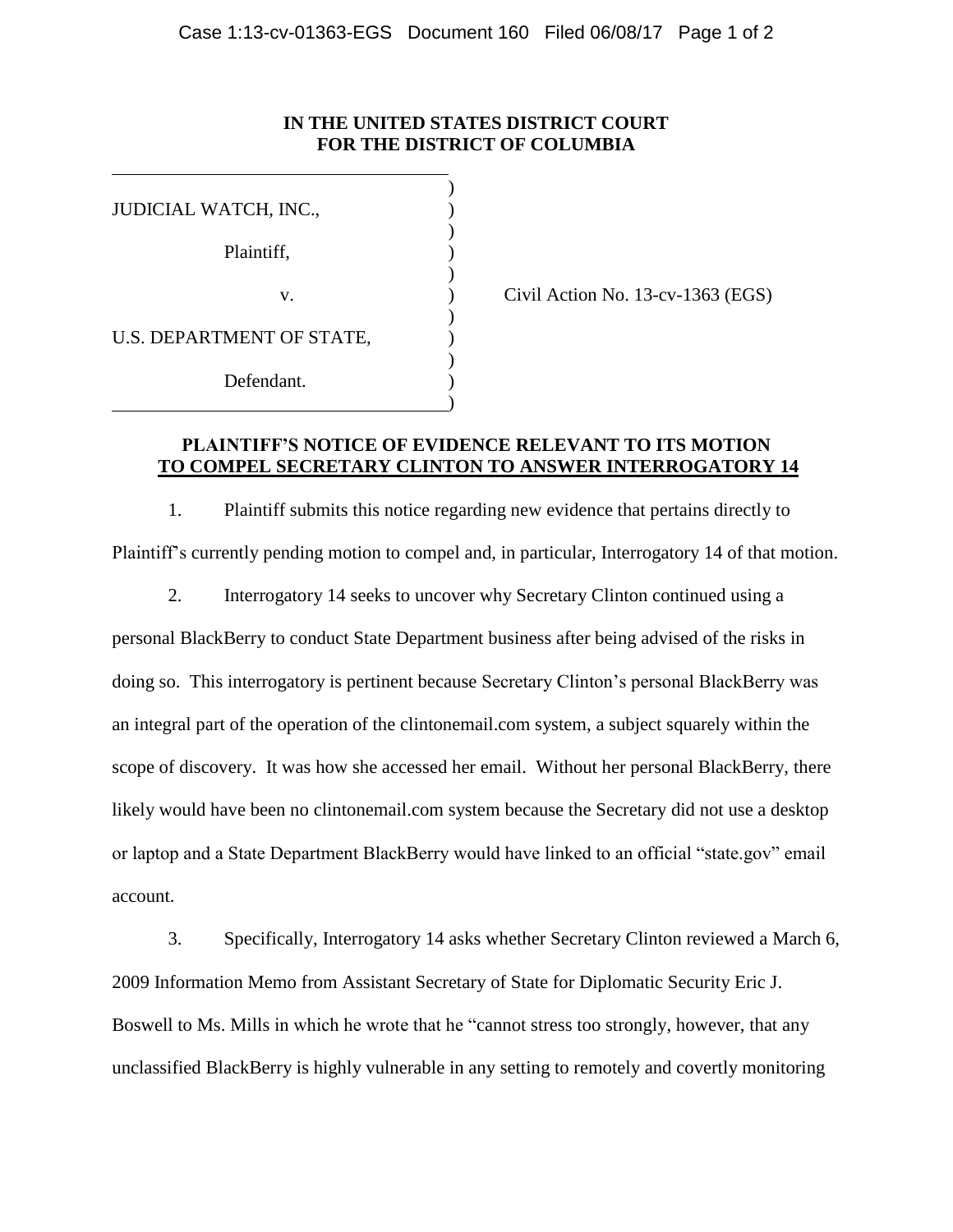## **IN THE UNITED STATES DISTRICT COURT FOR THE DISTRICT OF COLUMBIA**

| JUDICIAL WATCH, INC.,     |  |  |  |
|---------------------------|--|--|--|
|                           |  |  |  |
| Plaintiff,                |  |  |  |
| V.                        |  |  |  |
|                           |  |  |  |
| U.S. DEPARTMENT OF STATE, |  |  |  |
|                           |  |  |  |
| Defendant.                |  |  |  |
|                           |  |  |  |

Civil Action No.  $13$ -cv- $1363$  (EGS)

### **PLAINTIFF'S NOTICE OF EVIDENCE RELEVANT TO ITS MOTION TO COMPEL SECRETARY CLINTON TO ANSWER INTERROGATORY 14**

1. Plaintiff submits this notice regarding new evidence that pertains directly to Plaintiff's currently pending motion to compel and, in particular, Interrogatory 14 of that motion.

2. Interrogatory 14 seeks to uncover why Secretary Clinton continued using a personal BlackBerry to conduct State Department business after being advised of the risks in doing so. This interrogatory is pertinent because Secretary Clinton's personal BlackBerry was an integral part of the operation of the clintonemail.com system, a subject squarely within the scope of discovery. It was how she accessed her email. Without her personal BlackBerry, there likely would have been no clintonemail.com system because the Secretary did not use a desktop or laptop and a State Department BlackBerry would have linked to an official "state.gov" email account.

3. Specifically, Interrogatory 14 asks whether Secretary Clinton reviewed a March 6, 2009 Information Memo from Assistant Secretary of State for Diplomatic Security Eric J. Boswell to Ms. Mills in which he wrote that he "cannot stress too strongly, however, that any unclassified BlackBerry is highly vulnerable in any setting to remotely and covertly monitoring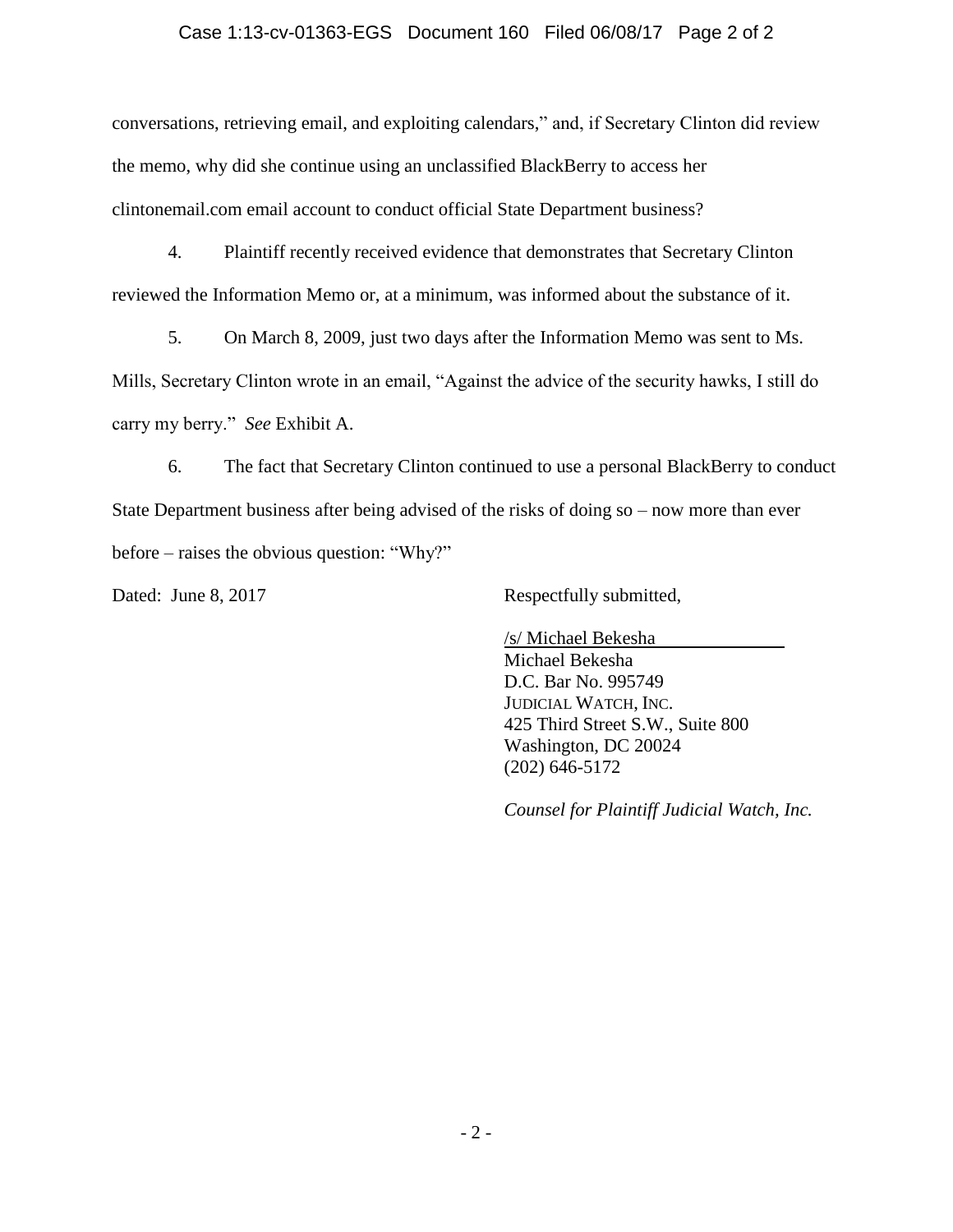### Case 1:13-cv-01363-EGS Document 160 Filed 06/08/17 Page 2 of 2

conversations, retrieving email, and exploiting calendars," and, if Secretary Clinton did review the memo, why did she continue using an unclassified BlackBerry to access her clintonemail.com email account to conduct official State Department business?

4. Plaintiff recently received evidence that demonstrates that Secretary Clinton reviewed the Information Memo or, at a minimum, was informed about the substance of it.

5. On March 8, 2009, just two days after the Information Memo was sent to Ms. Mills, Secretary Clinton wrote in an email, "Against the advice of the security hawks, I still do carry my berry." *See* Exhibit A.

6. The fact that Secretary Clinton continued to use a personal BlackBerry to conduct State Department business after being advised of the risks of doing so – now more than ever before – raises the obvious question: "Why?"

Dated: June 8, 2017 Respectfully submitted,

/s/ Michael Bekesha Michael Bekesha D.C. Bar No. 995749 JUDICIAL WATCH, INC. 425 Third Street S.W., Suite 800 Washington, DC 20024 (202) 646-5172

*Counsel for Plaintiff Judicial Watch, Inc.*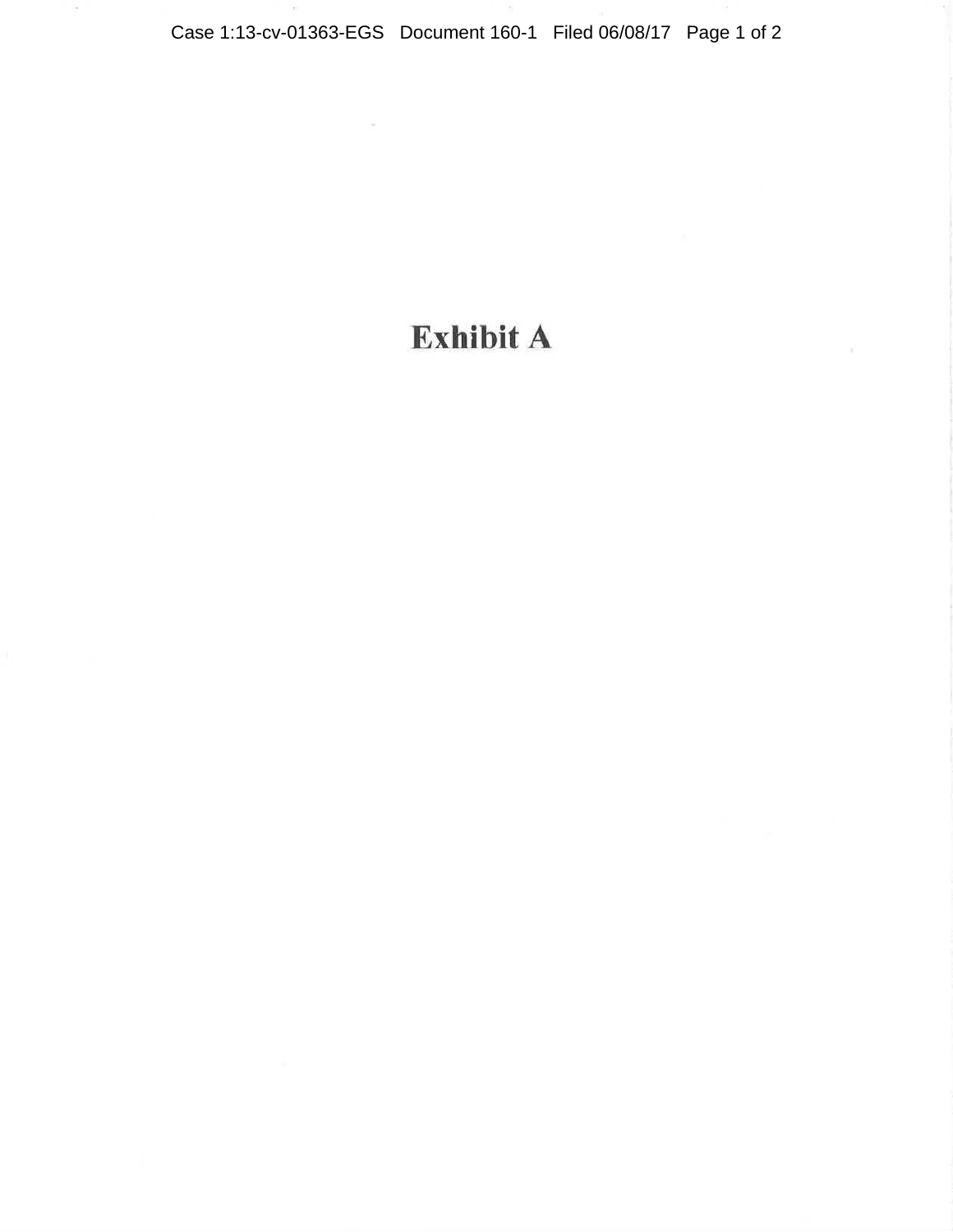$\bar{a}$ 

# Exhibit A